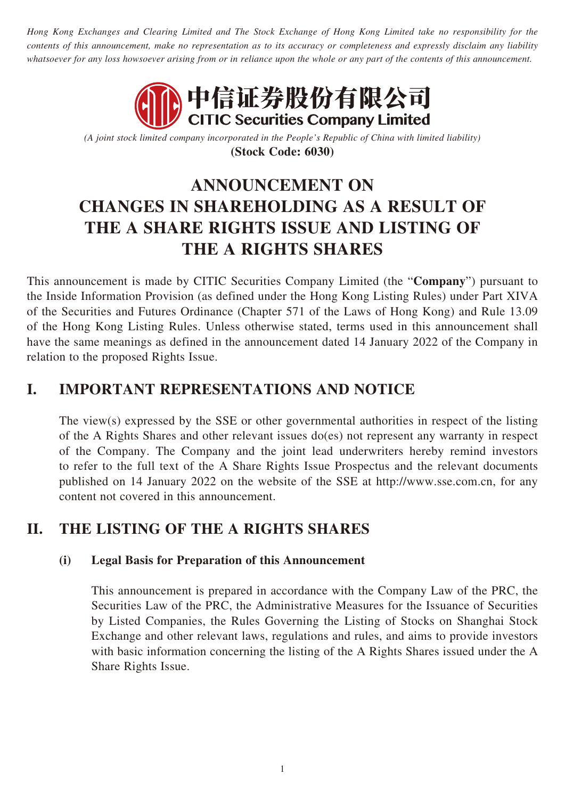*Hong Kong Exchanges and Clearing Limited and The Stock Exchange of Hong Kong Limited take no responsibility for the contents of this announcement, make no representation as to its accuracy or completeness and expressly disclaim any liability whatsoever for any loss howsoever arising from or in reliance upon the whole or any part of the contents of this announcement.*



*(A joint stock limited company incorporated in the People's Republic of China with limited liability)* **(Stock Code: 6030)**

# **ANNOUNCEMENT ON CHANGES IN SHAREHOLDING AS A RESULT OF THE A SHARE RIGHTS ISSUE AND LISTING OF THE A RIGHTS SHARES**

This announcement is made by CITIC Securities Company Limited (the "**Company**") pursuant to the Inside Information Provision (as defined under the Hong Kong Listing Rules) under Part XIVA of the Securities and Futures Ordinance (Chapter 571 of the Laws of Hong Kong) and Rule 13.09 of the Hong Kong Listing Rules. Unless otherwise stated, terms used in this announcement shall have the same meanings as defined in the announcement dated 14 January 2022 of the Company in relation to the proposed Rights Issue.

## **I. IMPORTANT REPRESENTATIONS AND NOTICE**

The view(s) expressed by the SSE or other governmental authorities in respect of the listing of the A Rights Shares and other relevant issues do(es) not represent any warranty in respect of the Company. The Company and the joint lead underwriters hereby remind investors to refer to the full text of the A Share Rights Issue Prospectus and the relevant documents published on 14 January 2022 on the website of the SSE at http://www.sse.com.cn, for any content not covered in this announcement.

## **II. THE LISTING OF THE A RIGHTS SHARES**

#### **(i) Legal Basis for Preparation of this Announcement**

This announcement is prepared in accordance with the Company Law of the PRC, the Securities Law of the PRC, the Administrative Measures for the Issuance of Securities by Listed Companies, the Rules Governing the Listing of Stocks on Shanghai Stock Exchange and other relevant laws, regulations and rules, and aims to provide investors with basic information concerning the listing of the A Rights Shares issued under the A Share Rights Issue.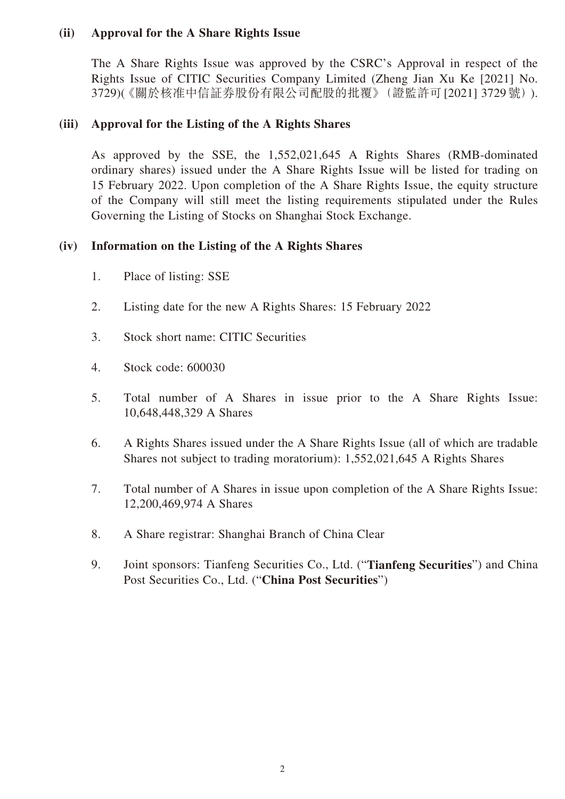#### **(ii) Approval for the A Share Rights Issue**

The A Share Rights Issue was approved by the CSRC's Approval in respect of the Rights Issue of CITIC Securities Company Limited (Zheng Jian Xu Ke [2021] No. 3729)(《關於核准中信証券股份有限公司配股的批覆》(證監許可[2021] 3729號)).

#### **(iii) Approval for the Listing of the A Rights Shares**

As approved by the SSE, the 1,552,021,645 A Rights Shares (RMB-dominated ordinary shares) issued under the A Share Rights Issue will be listed for trading on 15 February 2022. Upon completion of the A Share Rights Issue, the equity structure of the Company will still meet the listing requirements stipulated under the Rules Governing the Listing of Stocks on Shanghai Stock Exchange.

#### **(iv) Information on the Listing of the A Rights Shares**

- 1. Place of listing: SSE
- 2. Listing date for the new A Rights Shares: 15 February 2022
- 3. Stock short name: CITIC Securities
- 4. Stock code: 600030
- 5. Total number of A Shares in issue prior to the A Share Rights Issue: 10,648,448,329 A Shares
- 6. A Rights Shares issued under the A Share Rights Issue (all of which are tradable Shares not subject to trading moratorium): 1,552,021,645 A Rights Shares
- 7. Total number of A Shares in issue upon completion of the A Share Rights Issue: 12,200,469,974 A Shares
- 8. A Share registrar: Shanghai Branch of China Clear
- 9. Joint sponsors: Tianfeng Securities Co., Ltd. ("**Tianfeng Securities**") and China Post Securities Co., Ltd. ("**China Post Securities**")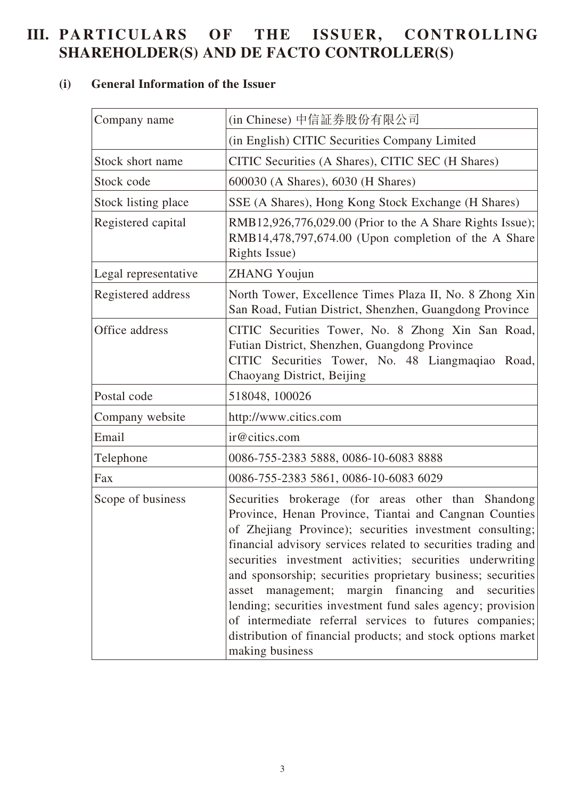## **III. PARTICULARS OF THE ISSUER, CONTROLLING SHAREHOLDER(S) AND DE FACTO CONTROLLER(S)**

### **(i) General Information of the Issuer**

| Company name         | (in Chinese) 中信証券股份有限公司                                                                                                                                                                                                                                                                                                                                                                                                                                                                                                                                                                                                                      |
|----------------------|----------------------------------------------------------------------------------------------------------------------------------------------------------------------------------------------------------------------------------------------------------------------------------------------------------------------------------------------------------------------------------------------------------------------------------------------------------------------------------------------------------------------------------------------------------------------------------------------------------------------------------------------|
|                      | (in English) CITIC Securities Company Limited                                                                                                                                                                                                                                                                                                                                                                                                                                                                                                                                                                                                |
| Stock short name     | CITIC Securities (A Shares), CITIC SEC (H Shares)                                                                                                                                                                                                                                                                                                                                                                                                                                                                                                                                                                                            |
| Stock code           | 600030 (A Shares), 6030 (H Shares)                                                                                                                                                                                                                                                                                                                                                                                                                                                                                                                                                                                                           |
| Stock listing place  | SSE (A Shares), Hong Kong Stock Exchange (H Shares)                                                                                                                                                                                                                                                                                                                                                                                                                                                                                                                                                                                          |
| Registered capital   | RMB12,926,776,029.00 (Prior to the A Share Rights Issue);<br>RMB14,478,797,674.00 (Upon completion of the A Share<br>Rights Issue)                                                                                                                                                                                                                                                                                                                                                                                                                                                                                                           |
| Legal representative | <b>ZHANG Youjun</b>                                                                                                                                                                                                                                                                                                                                                                                                                                                                                                                                                                                                                          |
| Registered address   | North Tower, Excellence Times Plaza II, No. 8 Zhong Xin<br>San Road, Futian District, Shenzhen, Guangdong Province                                                                                                                                                                                                                                                                                                                                                                                                                                                                                                                           |
| Office address       | CITIC Securities Tower, No. 8 Zhong Xin San Road,<br>Futian District, Shenzhen, Guangdong Province<br>CITIC Securities Tower, No. 48 Liangmagiao Road,<br>Chaoyang District, Beijing                                                                                                                                                                                                                                                                                                                                                                                                                                                         |
| Postal code          | 518048, 100026                                                                                                                                                                                                                                                                                                                                                                                                                                                                                                                                                                                                                               |
| Company website      | http://www.citics.com                                                                                                                                                                                                                                                                                                                                                                                                                                                                                                                                                                                                                        |
| Email                | ir@citics.com                                                                                                                                                                                                                                                                                                                                                                                                                                                                                                                                                                                                                                |
| Telephone            | 0086-755-2383 5888, 0086-10-6083 8888                                                                                                                                                                                                                                                                                                                                                                                                                                                                                                                                                                                                        |
| Fax                  | 0086-755-2383 5861, 0086-10-6083 6029                                                                                                                                                                                                                                                                                                                                                                                                                                                                                                                                                                                                        |
| Scope of business    | Securities brokerage (for areas other than Shandong<br>Province, Henan Province, Tiantai and Cangnan Counties<br>of Zhejiang Province); securities investment consulting;<br>financial advisory services related to securities trading and<br>securities investment activities; securities underwriting<br>and sponsorship; securities proprietary business; securities<br>asset management; margin financing<br>and securities<br>lending; securities investment fund sales agency; provision<br>of intermediate referral services to futures companies;<br>distribution of financial products; and stock options market<br>making business |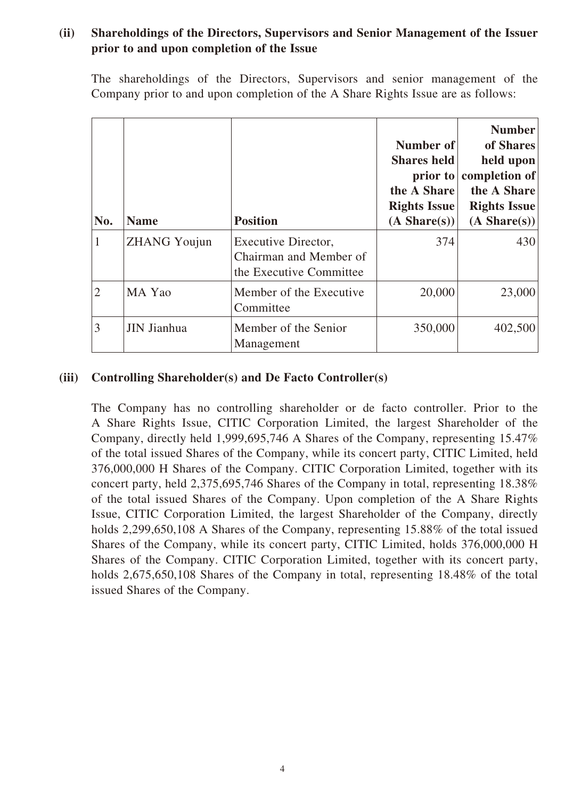#### **(ii) Shareholdings of the Directors, Supervisors and Senior Management of the Issuer prior to and upon completion of the Issue**

The shareholdings of the Directors, Supervisors and senior management of the Company prior to and upon completion of the A Share Rights Issue are as follows:

| No.            | <b>Name</b>         | <b>Position</b>                                                          | Number of<br><b>Shares held</b><br>$\frac{1}{2}$ prior to<br>the A Share<br><b>Rights Issue</b><br>(A Share(s)) | <b>Number</b><br>of Shares<br>held upon<br>completion of<br>the A Share<br><b>Rights Issue</b><br>$(A \, share(s))$ |
|----------------|---------------------|--------------------------------------------------------------------------|-----------------------------------------------------------------------------------------------------------------|---------------------------------------------------------------------------------------------------------------------|
|                | <b>ZHANG Youjun</b> | Executive Director,<br>Chairman and Member of<br>the Executive Committee | 374                                                                                                             | 430                                                                                                                 |
| $\overline{2}$ | MA Yao              | Member of the Executive<br>Committee                                     | 20,000                                                                                                          | 23,000                                                                                                              |
| 3              | JIN Jianhua         | Member of the Senior<br>Management                                       | 350,000                                                                                                         | 402,500                                                                                                             |

#### **(iii) Controlling Shareholder(s) and De Facto Controller(s)**

The Company has no controlling shareholder or de facto controller. Prior to the A Share Rights Issue, CITIC Corporation Limited, the largest Shareholder of the Company, directly held 1,999,695,746 A Shares of the Company, representing 15.47% of the total issued Shares of the Company, while its concert party, CITIC Limited, held 376,000,000 H Shares of the Company. CITIC Corporation Limited, together with its concert party, held 2,375,695,746 Shares of the Company in total, representing 18.38% of the total issued Shares of the Company. Upon completion of the A Share Rights Issue, CITIC Corporation Limited, the largest Shareholder of the Company, directly holds 2,299,650,108 A Shares of the Company, representing 15.88% of the total issued Shares of the Company, while its concert party, CITIC Limited, holds 376,000,000 H Shares of the Company. CITIC Corporation Limited, together with its concert party, holds 2,675,650,108 Shares of the Company in total, representing 18.48% of the total issued Shares of the Company.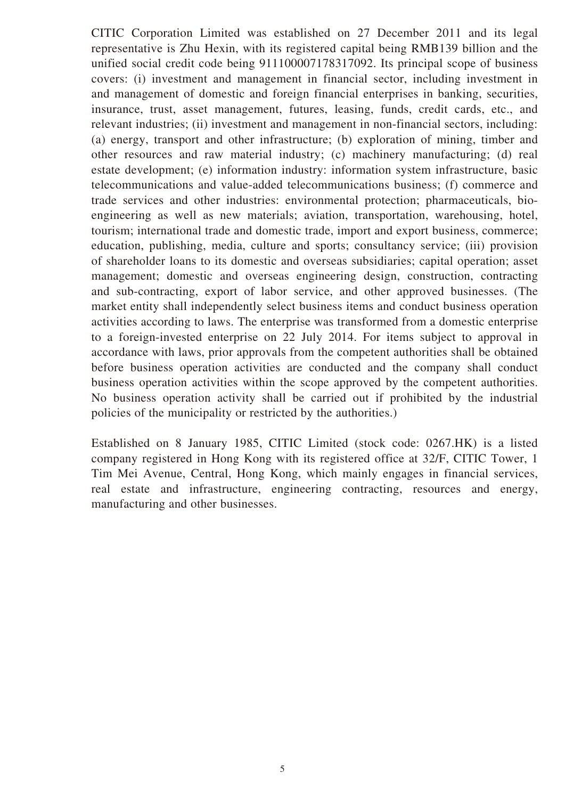CITIC Corporation Limited was established on 27 December 2011 and its legal representative is Zhu Hexin, with its registered capital being RMB139 billion and the unified social credit code being 911100007178317092. Its principal scope of business covers: (i) investment and management in financial sector, including investment in and management of domestic and foreign financial enterprises in banking, securities, insurance, trust, asset management, futures, leasing, funds, credit cards, etc., and relevant industries; (ii) investment and management in non-financial sectors, including: (a) energy, transport and other infrastructure; (b) exploration of mining, timber and other resources and raw material industry; (c) machinery manufacturing; (d) real estate development; (e) information industry: information system infrastructure, basic telecommunications and value-added telecommunications business; (f) commerce and trade services and other industries: environmental protection; pharmaceuticals, bioengineering as well as new materials; aviation, transportation, warehousing, hotel, tourism; international trade and domestic trade, import and export business, commerce; education, publishing, media, culture and sports; consultancy service; (iii) provision of shareholder loans to its domestic and overseas subsidiaries; capital operation; asset management; domestic and overseas engineering design, construction, contracting and sub-contracting, export of labor service, and other approved businesses. (The market entity shall independently select business items and conduct business operation activities according to laws. The enterprise was transformed from a domestic enterprise to a foreign-invested enterprise on 22 July 2014. For items subject to approval in accordance with laws, prior approvals from the competent authorities shall be obtained before business operation activities are conducted and the company shall conduct business operation activities within the scope approved by the competent authorities. No business operation activity shall be carried out if prohibited by the industrial policies of the municipality or restricted by the authorities.)

Established on 8 January 1985, CITIC Limited (stock code: 0267.HK) is a listed company registered in Hong Kong with its registered office at 32/F, CITIC Tower, 1 Tim Mei Avenue, Central, Hong Kong, which mainly engages in financial services, real estate and infrastructure, engineering contracting, resources and energy, manufacturing and other businesses.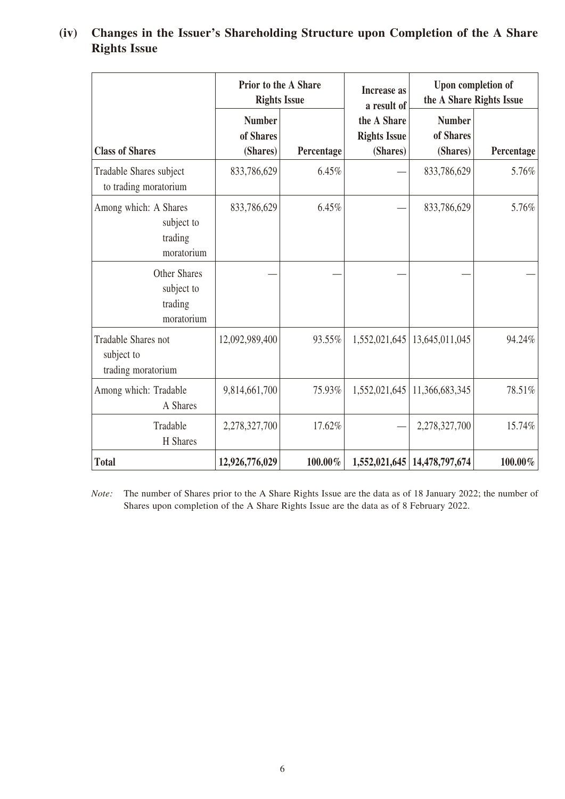|                                                              |                                        | <b>Prior to the A Share</b><br>Upon completion of<br><b>Increase</b> as<br>the A Share Rights Issue<br><b>Rights Issue</b><br>a result of |                                                |                                        |            |
|--------------------------------------------------------------|----------------------------------------|-------------------------------------------------------------------------------------------------------------------------------------------|------------------------------------------------|----------------------------------------|------------|
| <b>Class of Shares</b>                                       | <b>Number</b><br>of Shares<br>(Shares) | Percentage                                                                                                                                | the A Share<br><b>Rights Issue</b><br>(Shares) | <b>Number</b><br>of Shares<br>(Shares) | Percentage |
| Tradable Shares subject<br>to trading moratorium             | 833,786,629                            | 6.45%                                                                                                                                     |                                                | 833,786,629                            | 5.76%      |
| Among which: A Shares<br>subject to<br>trading<br>moratorium | 833,786,629                            | 6.45%                                                                                                                                     |                                                | 833,786,629                            | 5.76%      |
| <b>Other Shares</b><br>subject to<br>trading<br>moratorium   |                                        |                                                                                                                                           |                                                |                                        |            |
| Tradable Shares not<br>subject to<br>trading moratorium      | 12,092,989,400                         | 93.55%                                                                                                                                    | 1,552,021,645                                  | 13,645,011,045                         | 94.24%     |
| Among which: Tradable<br>A Shares                            | 9,814,661,700                          | 75.93%                                                                                                                                    | 1,552,021,645                                  | 11,366,683,345                         | 78.51%     |
| Tradable<br>H Shares                                         | 2,278,327,700                          | 17.62%                                                                                                                                    |                                                | 2,278,327,700                          | 15.74%     |
| <b>Total</b>                                                 | 12,926,776,029                         | 100.00%                                                                                                                                   |                                                | 1,552,021,645   14,478,797,674         | $100.00\%$ |

#### **(iv) Changes in the Issuer's Shareholding Structure upon Completion of the A Share Rights Issue**

*Note:* The number of Shares prior to the A Share Rights Issue are the data as of 18 January 2022; the number of Shares upon completion of the A Share Rights Issue are the data as of 8 February 2022.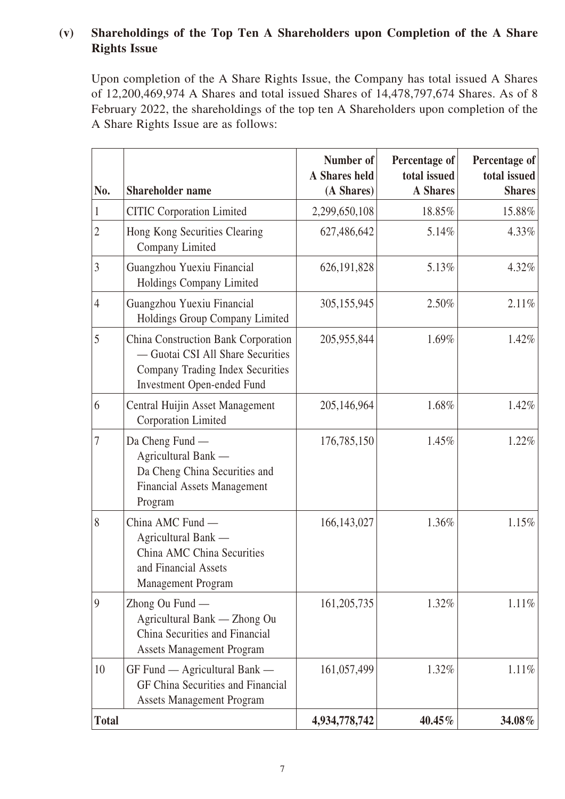#### **(v) Shareholdings of the Top Ten A Shareholders upon Completion of the A Share Rights Issue**

Upon completion of the A Share Rights Issue, the Company has total issued A Shares of 12,200,469,974 A Shares and total issued Shares of 14,478,797,674 Shares. As of 8 February 2022, the shareholdings of the top ten A Shareholders upon completion of the A Share Rights Issue are as follows:

| No.            | <b>Shareholder name</b>                                                                                                                           | Number of<br>A Shares held<br>(A Shares) | Percentage of<br>total issued<br><b>A</b> Shares | Percentage of<br>total issued<br><b>Shares</b> |
|----------------|---------------------------------------------------------------------------------------------------------------------------------------------------|------------------------------------------|--------------------------------------------------|------------------------------------------------|
| 1              | <b>CITIC Corporation Limited</b>                                                                                                                  | 2,299,650,108                            | 18.85%                                           | 15.88%                                         |
| $\overline{2}$ | Hong Kong Securities Clearing<br>Company Limited                                                                                                  | 627,486,642                              | 5.14%                                            | 4.33%                                          |
| $\overline{3}$ | Guangzhou Yuexiu Financial<br>Holdings Company Limited                                                                                            | 626, 191, 828                            | 5.13%                                            | 4.32%                                          |
| $\overline{4}$ | Guangzhou Yuexiu Financial<br>Holdings Group Company Limited                                                                                      | 305,155,945                              | 2.50%                                            | 2.11%                                          |
| 5              | China Construction Bank Corporation<br>- Guotai CSI All Share Securities<br>Company Trading Index Securities<br><b>Investment Open-ended Fund</b> | 205,955,844                              | 1.69%                                            | 1.42%                                          |
| 6              | Central Huijin Asset Management<br>Corporation Limited                                                                                            | 205,146,964                              | 1.68%                                            | 1.42%                                          |
| 7              | Da Cheng Fund —<br>Agricultural Bank -<br>Da Cheng China Securities and<br><b>Financial Assets Management</b><br>Program                          | 176,785,150                              | 1.45%                                            | 1.22%                                          |
| 8              | China AMC Fund -<br>Agricultural Bank -<br>China AMC China Securities<br>and Financial Assets<br>Management Program                               | 166, 143, 027                            | 1.36%                                            | 1.15%                                          |
| 9              | Zhong Ou Fund —<br>Agricultural Bank - Zhong Ou<br>China Securities and Financial<br><b>Assets Management Program</b>                             | 161, 205, 735                            | 1.32%                                            | $1.11\%$                                       |
| 10             | $GF$ Fund $-$ Agricultural Bank $-$<br>GF China Securities and Financial<br><b>Assets Management Program</b>                                      | 161,057,499                              | 1.32%                                            | 1.11%                                          |
| <b>Total</b>   |                                                                                                                                                   | 4,934,778,742                            | 40.45%                                           | 34.08%                                         |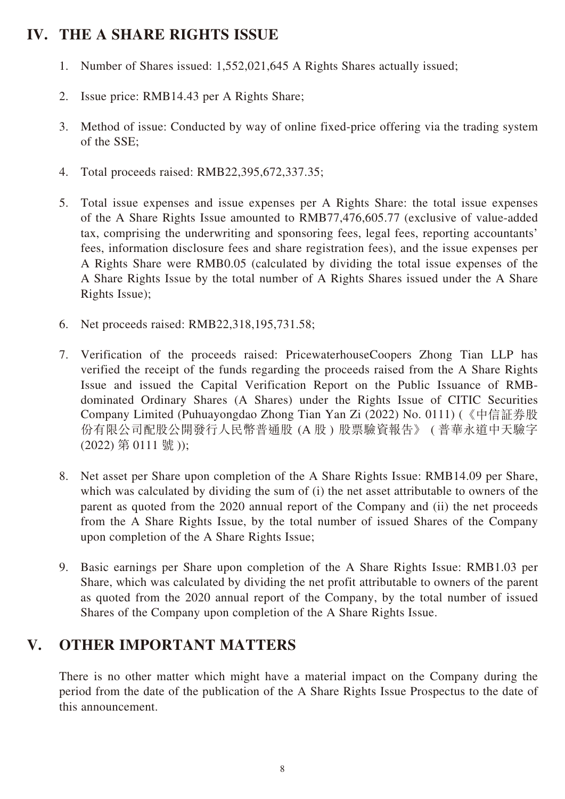## **IV. THE A SHARE RIGHTS ISSUE**

- 1. Number of Shares issued: 1,552,021,645 A Rights Shares actually issued;
- 2. Issue price: RMB14.43 per A Rights Share;
- 3. Method of issue: Conducted by way of online fixed-price offering via the trading system of the SSE;
- 4. Total proceeds raised: RMB22,395,672,337.35;
- 5. Total issue expenses and issue expenses per A Rights Share: the total issue expenses of the A Share Rights Issue amounted to RMB77,476,605.77 (exclusive of value-added tax, comprising the underwriting and sponsoring fees, legal fees, reporting accountants' fees, information disclosure fees and share registration fees), and the issue expenses per A Rights Share were RMB0.05 (calculated by dividing the total issue expenses of the A Share Rights Issue by the total number of A Rights Shares issued under the A Share Rights Issue);
- 6. Net proceeds raised: RMB22,318,195,731.58;
- 7. Verification of the proceeds raised: PricewaterhouseCoopers Zhong Tian LLP has verified the receipt of the funds regarding the proceeds raised from the A Share Rights Issue and issued the Capital Verification Report on the Public Issuance of RMBdominated Ordinary Shares (A Shares) under the Rights Issue of CITIC Securities Company Limited (Puhuayongdao Zhong Tian Yan Zi (2022) No. 0111) (《中信証券股 份有限公司配股公開發行人民幣普通股 (A 股 ) 股票驗資報告》 ( 普華永道中天驗字 (2022) 第 0111 號 ));
- 8. Net asset per Share upon completion of the A Share Rights Issue: RMB14.09 per Share, which was calculated by dividing the sum of (i) the net asset attributable to owners of the parent as quoted from the 2020 annual report of the Company and (ii) the net proceeds from the A Share Rights Issue, by the total number of issued Shares of the Company upon completion of the A Share Rights Issue;
- 9. Basic earnings per Share upon completion of the A Share Rights Issue: RMB1.03 per Share, which was calculated by dividing the net profit attributable to owners of the parent as quoted from the 2020 annual report of the Company, by the total number of issued Shares of the Company upon completion of the A Share Rights Issue.

## **V. OTHER IMPORTANT MATTERS**

There is no other matter which might have a material impact on the Company during the period from the date of the publication of the A Share Rights Issue Prospectus to the date of this announcement.